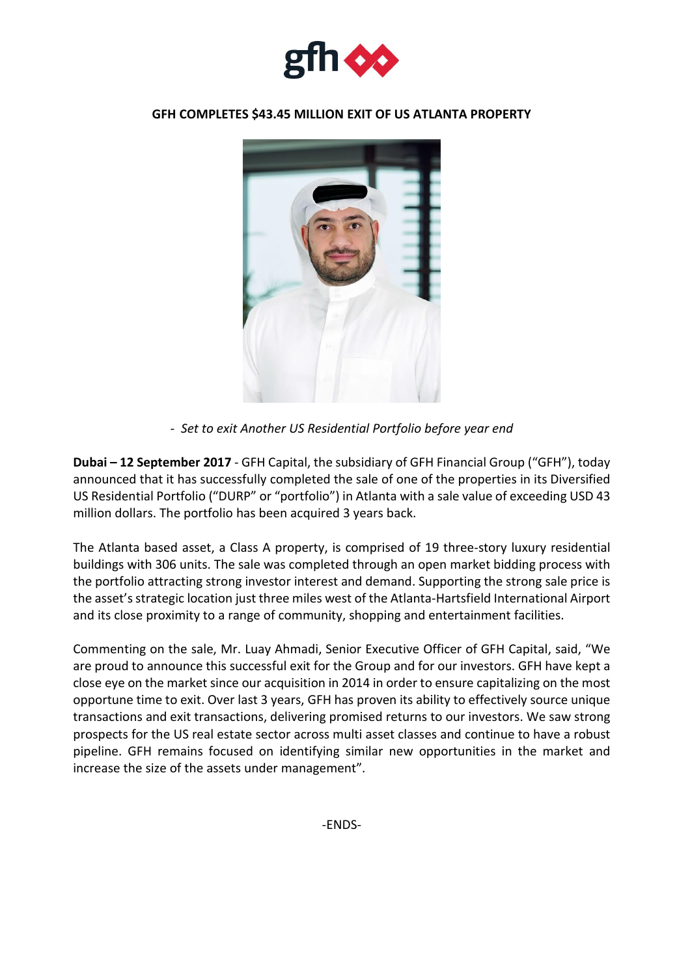

## **GFH COMPLETES \$43.45 MILLION EXIT OF US ATLANTA PROPERTY**



*- Set to exit Another US Residential Portfolio before year end*

**Dubai – 12 September 2017** - GFH Capital, the subsidiary of GFH Financial Group ("GFH"), today announced that it has successfully completed the sale of one of the properties in its Diversified US Residential Portfolio ("DURP" or "portfolio") in Atlanta with a sale value of exceeding USD 43 million dollars. The portfolio has been acquired 3 years back.

The Atlanta based asset, a Class A property, is comprised of 19 three-story luxury residential buildings with 306 units. The sale was completed through an open market bidding process with the portfolio attracting strong investor interest and demand. Supporting the strong sale price is the asset'sstrategic location just three miles west of the Atlanta-Hartsfield International Airport and its close proximity to a range of community, shopping and entertainment facilities.

Commenting on the sale, Mr. Luay Ahmadi, Senior Executive Officer of GFH Capital, said, "We are proud to announce this successful exit for the Group and for our investors. GFH have kept a close eye on the market since our acquisition in 2014 in order to ensure capitalizing on the most opportune time to exit. Over last 3 years, GFH has proven its ability to effectively source unique transactions and exit transactions, delivering promised returns to our investors. We saw strong prospects for the US real estate sector across multi asset classes and continue to have a robust pipeline. GFH remains focused on identifying similar new opportunities in the market and increase the size of the assets under management".

-ENDS-